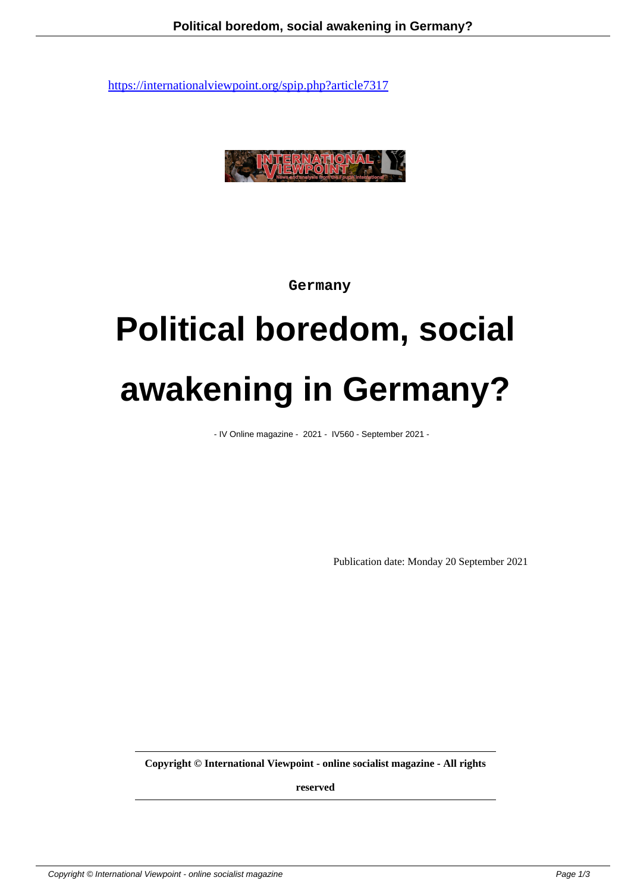

 **Germany**

## **Political boredom, social awakening in Germany?**

- IV Online magazine - 2021 - IV560 - September 2021 -

Publication date: Monday 20 September 2021

**Copyright © International Viewpoint - online socialist magazine - All rights**

**reserved**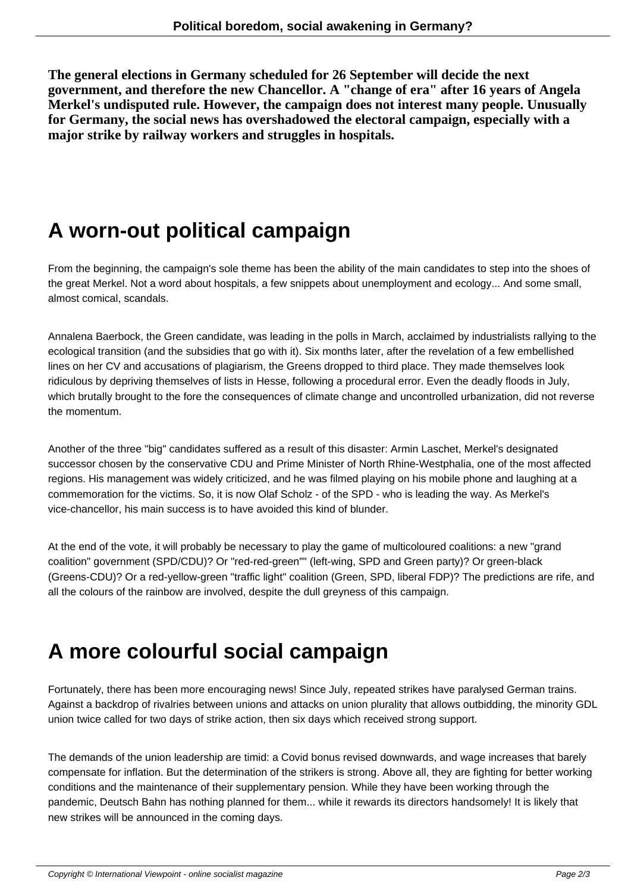**The general elections in Germany scheduled for 26 September will decide the next government, and therefore the new Chancellor. A "change of era" after 16 years of Angela Merkel's undisputed rule. However, the campaign does not interest many people. Unusually for Germany, the social news has overshadowed the electoral campaign, especially with a major strike by railway workers and struggles in hospitals.**

## **A worn-out political campaign**

From the beginning, the campaign's sole theme has been the ability of the main candidates to step into the shoes of the great Merkel. Not a word about hospitals, a few snippets about unemployment and ecology... And some small, almost comical, scandals.

Annalena Baerbock, the Green candidate, was leading in the polls in March, acclaimed by industrialists rallying to the ecological transition (and the subsidies that go with it). Six months later, after the revelation of a few embellished lines on her CV and accusations of plagiarism, the Greens dropped to third place. They made themselves look ridiculous by depriving themselves of lists in Hesse, following a procedural error. Even the deadly floods in July, which brutally brought to the fore the consequences of climate change and uncontrolled urbanization, did not reverse the momentum.

Another of the three "big" candidates suffered as a result of this disaster: Armin Laschet, Merkel's designated successor chosen by the conservative CDU and Prime Minister of North Rhine-Westphalia, one of the most affected regions. His management was widely criticized, and he was filmed playing on his mobile phone and laughing at a commemoration for the victims. So, it is now Olaf Scholz - of the SPD - who is leading the way. As Merkel's vice-chancellor, his main success is to have avoided this kind of blunder.

At the end of the vote, it will probably be necessary to play the game of multicoloured coalitions: a new "grand coalition" government (SPD/CDU)? Or "red-red-green"" (left-wing, SPD and Green party)? Or green-black (Greens-CDU)? Or a red-yellow-green "traffic light" coalition (Green, SPD, liberal FDP)? The predictions are rife, and all the colours of the rainbow are involved, despite the dull greyness of this campaign.

## **A more colourful social campaign**

Fortunately, there has been more encouraging news! Since July, repeated strikes have paralysed German trains. Against a backdrop of rivalries between unions and attacks on union plurality that allows outbidding, the minority GDL union twice called for two days of strike action, then six days which received strong support.

The demands of the union leadership are timid: a Covid bonus revised downwards, and wage increases that barely compensate for inflation. But the determination of the strikers is strong. Above all, they are fighting for better working conditions and the maintenance of their supplementary pension. While they have been working through the pandemic, Deutsch Bahn has nothing planned for them... while it rewards its directors handsomely! It is likely that new strikes will be announced in the coming days.